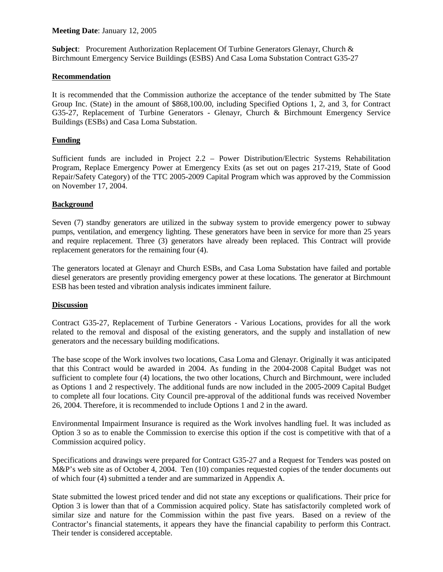## **Meeting Date**: January 12, 2005

**Subject**: Procurement Authorization Replacement Of Turbine Generators Glenayr, Church & Birchmount Emergency Service Buildings (ESBS) And Casa Loma Substation Contract G35-27

### **Recommendation**

It is recommended that the Commission authorize the acceptance of the tender submitted by The State Group Inc. (State) in the amount of \$868,100.00, including Specified Options 1, 2, and 3, for Contract G35-27, Replacement of Turbine Generators - Glenayr, Church & Birchmount Emergency Service Buildings (ESBs) and Casa Loma Substation.

## **Funding**

Sufficient funds are included in Project 2.2 – Power Distribution/Electric Systems Rehabilitation Program, Replace Emergency Power at Emergency Exits (as set out on pages 217-219, State of Good Repair/Safety Category) of the TTC 2005-2009 Capital Program which was approved by the Commission on November 17, 2004.

### **Background**

Seven (7) standby generators are utilized in the subway system to provide emergency power to subway pumps, ventilation, and emergency lighting. These generators have been in service for more than 25 years and require replacement. Three (3) generators have already been replaced. This Contract will provide replacement generators for the remaining four (4).

The generators located at Glenayr and Church ESBs, and Casa Loma Substation have failed and portable diesel generators are presently providing emergency power at these locations. The generator at Birchmount ESB has been tested and vibration analysis indicates imminent failure.

#### **Discussion**

Contract G35-27, Replacement of Turbine Generators - Various Locations, provides for all the work related to the removal and disposal of the existing generators, and the supply and installation of new generators and the necessary building modifications.

The base scope of the Work involves two locations, Casa Loma and Glenayr. Originally it was anticipated that this Contract would be awarded in 2004. As funding in the 2004-2008 Capital Budget was not sufficient to complete four (4) locations, the two other locations, Church and Birchmount, were included as Options 1 and 2 respectively. The additional funds are now included in the 2005-2009 Capital Budget to complete all four locations. City Council pre-approval of the additional funds was received November 26, 2004. Therefore, it is recommended to include Options 1 and 2 in the award.

Environmental Impairment Insurance is required as the Work involves handling fuel. It was included as Option 3 so as to enable the Commission to exercise this option if the cost is competitive with that of a Commission acquired policy.

Specifications and drawings were prepared for Contract G35-27 and a Request for Tenders was posted on M&P's web site as of October 4, 2004. Ten (10) companies requested copies of the tender documents out of which four (4) submitted a tender and are summarized in Appendix A.

State submitted the lowest priced tender and did not state any exceptions or qualifications. Their price for Option 3 is lower than that of a Commission acquired policy. State has satisfactorily completed work of similar size and nature for the Commission within the past five years. Based on a review of the Contractor's financial statements, it appears they have the financial capability to perform this Contract. Their tender is considered acceptable.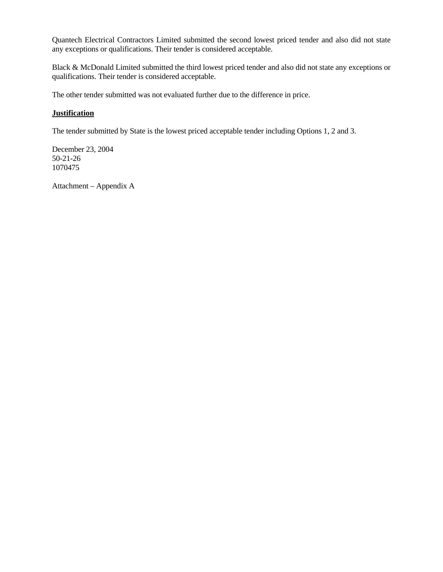Quantech Electrical Contractors Limited submitted the second lowest priced tender and also did not state any exceptions or qualifications. Their tender is considered acceptable.

Black & McDonald Limited submitted the third lowest priced tender and also did not state any exceptions or qualifications. Their tender is considered acceptable.

The other tender submitted was not evaluated further due to the difference in price.

## **Justification**

The tender submitted by State is the lowest priced acceptable tender including Options 1, 2 and 3.

December 23, 2004 50-21-26 1070475

Attachment – Appendix A